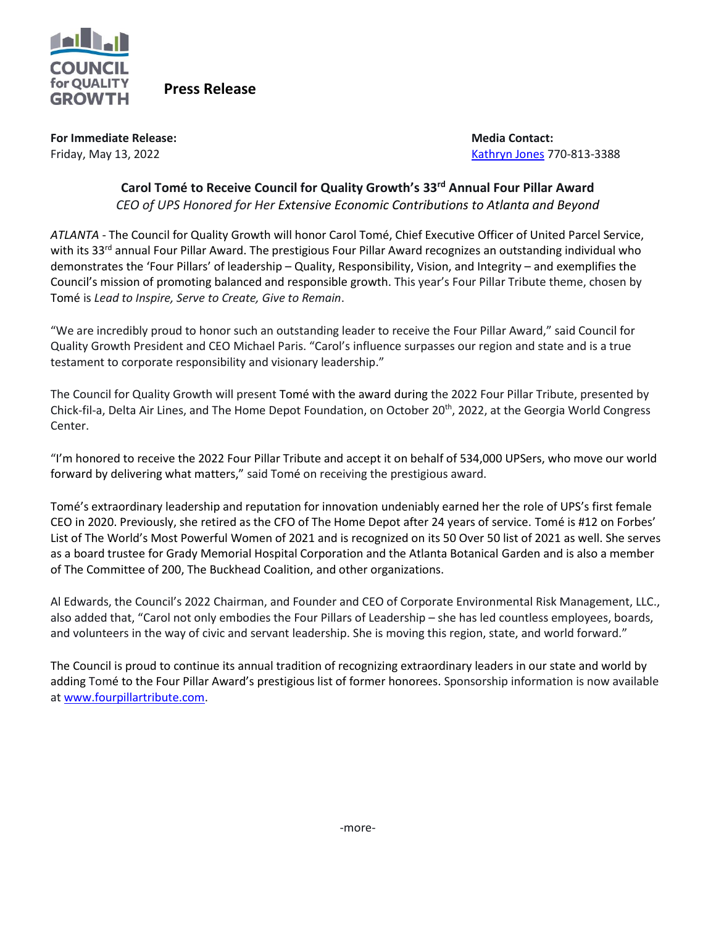

 **Press Release**

**For Immediate Release:**  $\blacksquare$  **For Immediate Release:**  $\blacksquare$  **Media Contact:**  $\blacksquare$ 

Friday, May 13, 2022 [Kathryn](mailto:kj@councilforqualitygrowth.org) Jones 770-813-3388

## **Carol Tomé to Receive Council for Quality Growth's 33rd Annual Four Pillar Award** *CEO of UPS Honored for Her Extensive Economic Contributions to Atlanta and Beyond*

*ATLANTA* - The Council for Quality Growth will honor Carol Tomé, Chief Executive Officer of United Parcel Service, with its 33<sup>rd</sup> annual Four Pillar Award. The prestigious Four Pillar Award recognizes an outstanding individual who demonstrates the 'Four Pillars' of leadership – Quality, Responsibility, Vision, and Integrity – and exemplifies the Council's mission of promoting balanced and responsible growth. This year's Four Pillar Tribute theme, chosen by Tomé is *Lead to Inspire, Serve to Create, Give to Remain*.

"We are incredibly proud to honor such an outstanding leader to receive the Four Pillar Award," said Council for Quality Growth President and CEO Michael Paris. "Carol's influence surpasses our region and state and is a true testament to corporate responsibility and visionary leadership."

The Council for Quality Growth will present Tomé with the award during the 2022 Four Pillar Tribute, presented by Chick-fil-a, Delta Air Lines, and The Home Depot Foundation, on October 20<sup>th</sup>, 2022, at the Georgia World Congress Center.

"I'm honored to receive the 2022 Four Pillar Tribute and accept it on behalf of 534,000 UPSers, who move our world forward by delivering what matters," said Tomé on receiving the prestigious award.

Tomé's extraordinary leadership and reputation for innovation undeniably earned her the role of UPS's first female CEO in 2020. Previously, she retired as the CFO of The Home Depot after 24 years of service. Tomé is #12 on Forbes' List of The World's Most Powerful Women of 2021 and is recognized on its 50 Over 50 list of 2021 as well. She serves as a board trustee for Grady Memorial Hospital Corporation and the Atlanta Botanical Garden and is also a member of The Committee of 200, The Buckhead Coalition, and other organizations.

Al Edwards, the Council's 2022 Chairman, and Founder and CEO of Corporate Environmental Risk Management, LLC., also added that, "Carol not only embodies the Four Pillars of Leadership – she has led countless employees, boards, and volunteers in the way of civic and servant leadership. She is moving this region, state, and world forward."

The Council is proud to continue its annual tradition of recognizing extraordinary leaders in our state and world by adding Tomé to the Four Pillar Award's prestigious list of former honorees. Sponsorship information is now available a[t www.fourpillartribute.com.](http://www.fourpillartribute.com/)